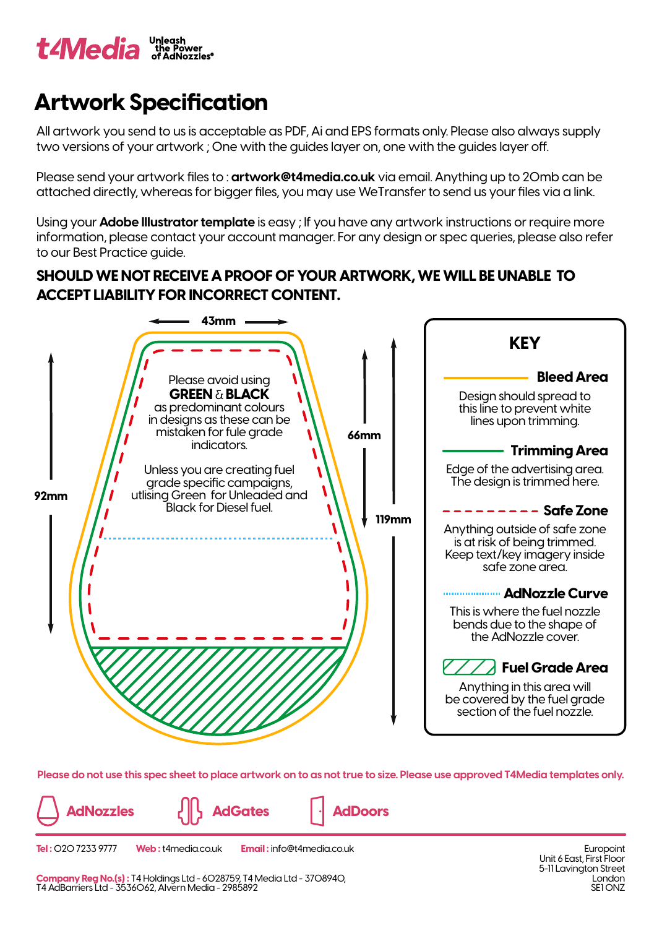

## **Artwork Specification**

All artwork you send to us is acceptable as PDF, Ai and EPS formats only. Please also always supply two versions of your artwork; One with the guides layer on, one with the guides layer off.

Please send your artwork files to : **artwork@t4media.co.uk** via email. Anything up to 20mb can be attached directly, whereas for bigger files, you may use WeTransfer to send us your files via a link.

Using your **Adobe Illustrator template** is easy ; If you have any artwork instructions or require more information, please contact your account manager. For any design or spec queries, please also refer to our Best Practice guide.

## **SHOULD WE NOT RECEIVE A PROOF OF YOUR ARTWORK, WE WILL BE UNABLE TO ACCEPT LIABILITY FOR INCORRECT CONTENT.**



**Please do not use this spec sheet to place artwork on to as not true to size. Please use approved T4Media templates only.**

**AdNozzles AdGates AdDoors**

**Tel :** 020 7233 9777 **Web :** t4media.co.uk **Email :** info@t4media.co.uk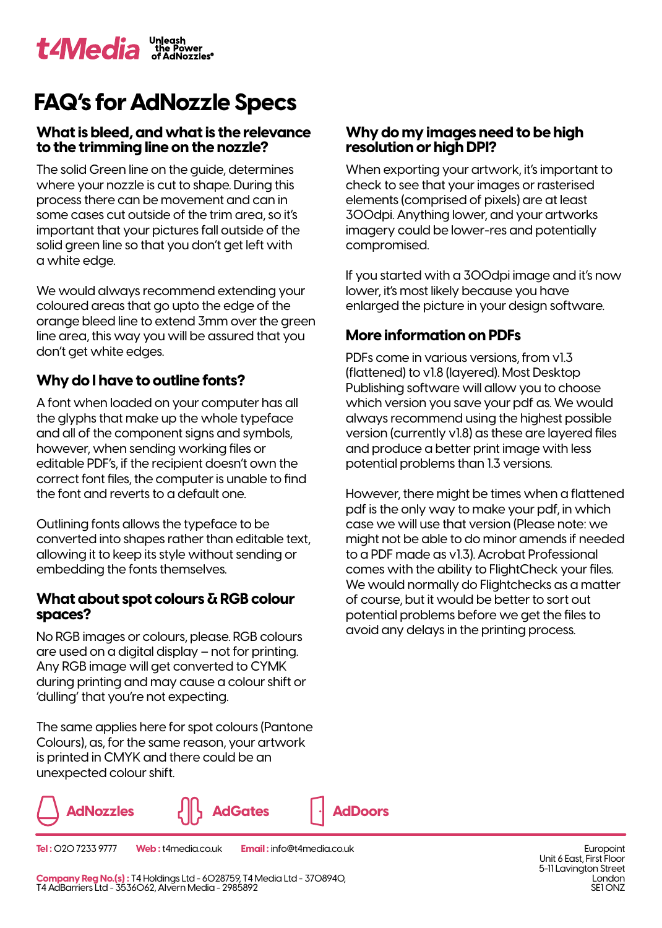# **FAQ's for AdNozzle Specs**

### **What is bleed, and what is the relevance to the trimming line on the nozzle?**

The solid Green line on the guide, determines where your nozzle is cut to shape. During this process there can be movement and can in some cases cut outside of the trim area, so it's important that your pictures fall outside of the solid green line so that you don't get left with a white edge.

We would always recommend extending your coloured areas that go upto the edge of the orange bleed line to extend 3mm over the green line area, this way you will be assured that you don't get white edges.

## **Why do I have to outline fonts?**

A font when loaded on your computer has all the glyphs that make up the whole typeface and all of the component signs and symbols, however, when sending working files or editable PDF's, if the recipient doesn't own the correct font files, the computer is unable to find the font and reverts to a default one.

Outlining fonts allows the typeface to be converted into shapes rather than editable text, allowing it to keep its style without sending or embedding the fonts themselves.

#### **What about spot colours & RGB colour spaces?**

No RGB images or colours, please. RGB colours are used on a digital display – not for printing. Any RGB image will get converted to CYMK during printing and may cause a colour shift or 'dulling' that you're not expecting.

The same applies here for spot colours (Pantone Colours), as, for the same reason, your artwork is printed in CMYK and there could be an unexpected colour shift.



#### **Tel :** 020 7233 9777 **Web :** t4media.co.uk **Email :** info@t4media.co.uk

**Company Reg No.(s) :** T4 Holdings Ltd - 6028759, T4 Media Ltd - 3708940, T4 AdBarriers Ltd - 3536062, Alvern Media - 2985892

#### **Why do my images need to be high resolution or high DPI?**

When exporting your artwork, it's important to check to see that your images or rasterised elements (comprised of pixels) are at least 300dpi. Anything lower, and your artworks imagery could be lower-res and potentially compromised.

If you started with a 300dpi image and it's now lower, it's most likely because you have enlarged the picture in your design software.

### **More information on PDFs**

PDFs come in various versions, from v1.3 (flattened) to v1.8 (layered). Most Desktop Publishing software will allow you to choose which version you save your pdf as. We would always recommend using the highest possible version (currently v1.8) as these are layered files and produce a better print image with less potential problems than 1.3 versions.

However, there might be times when a flattened pdf is the only way to make your pdf, in which case we will use that version (Please note: we might not be able to do minor amends if needed to a PDF made as v1.3). Acrobat Professional comes with the ability to FlightCheck your files. We would normally do Flightchecks as a matter of course, but it would be better to sort out potential problems before we get the files to avoid any delays in the printing process.

> **Europoint** Unit 6 East, First Floor 5-11 Lavington Street London SF1 ON<sub>7</sub>